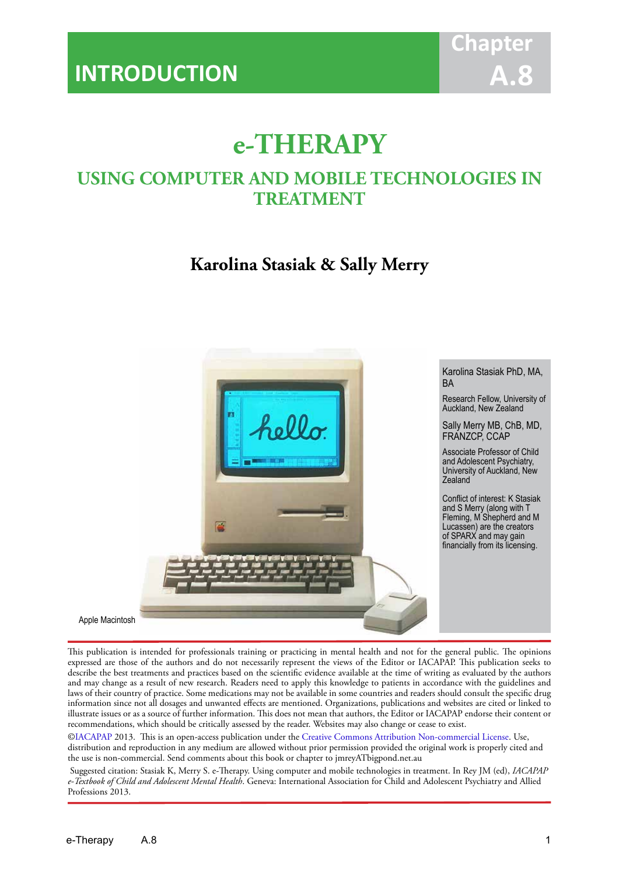

# **e-THERAPY**

IACAPAP Textbook of Child and Adolescent Mental Health

# **USING COMPUTER AND MOBILE TECHNOLOGIES IN TREATMENT**

# **Karolina Stasiak & Sally Merry**



This publication is intended for professionals training or practicing in mental health and not for the general public. The opinions expressed are those of the authors and do not necessarily represent the views of the Editor or IACAPAP. This publication seeks to describe the best treatments and practices based on the scientific evidence available at the time of writing as evaluated by the authors and may change as a result of new research. Readers need to apply this knowledge to patients in accordance with the guidelines and laws of their country of practice. Some medications may not be available in some countries and readers should consult the specific drug information since not all dosages and unwanted effects are mentioned. Organizations, publications and websites are cited or linked to illustrate issues or as a source of further information. This does not mean that authors, the Editor or IACAPAP endorse their content or recommendations, which should be critically assessed by the reader. Websites may also change or cease to exist.

[©IACAPAP](http://iacapap.org/) 2013. This is an open-access publication under the [Creative Commons Attribution Non-commercial License](http://creativecommons.org/licenses/by-nc/2.0/). Use, distribution and reproduction in any medium are allowed without prior permission provided the original work is properly cited and the use is non-commercial. Send comments about this book or chapter to jmreyATbigpond.net.au

 Suggested citation: Stasiak K, Merry S. e-Therapy. Using computer and mobile technologies in treatment. In Rey JM (ed), *IACAPAP e-Textbook of Child and Adolescent Mental Health*. Geneva: International Association for Child and Adolescent Psychiatry and Allied Professions 2013.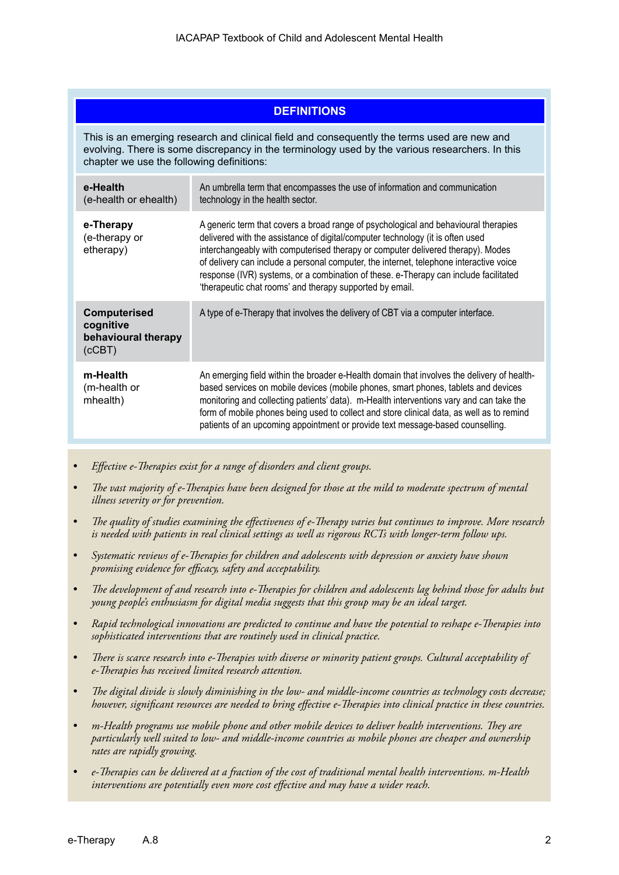| <b>DEFINITIONS</b>                                                                                                                                                                                                                          |                                                                                                                                                                                                                                                                                                                                                                                                                                                                                                        |  |  |  |
|---------------------------------------------------------------------------------------------------------------------------------------------------------------------------------------------------------------------------------------------|--------------------------------------------------------------------------------------------------------------------------------------------------------------------------------------------------------------------------------------------------------------------------------------------------------------------------------------------------------------------------------------------------------------------------------------------------------------------------------------------------------|--|--|--|
| This is an emerging research and clinical field and consequently the terms used are new and<br>evolving. There is some discrepancy in the terminology used by the various researchers. In this<br>chapter we use the following definitions: |                                                                                                                                                                                                                                                                                                                                                                                                                                                                                                        |  |  |  |
| e-Health<br>(e-health or ehealth)                                                                                                                                                                                                           | An umbrella term that encompasses the use of information and communication<br>technology in the health sector.                                                                                                                                                                                                                                                                                                                                                                                         |  |  |  |
| e-Therapy<br>(e-therapy or<br>etherapy)                                                                                                                                                                                                     | A generic term that covers a broad range of psychological and behavioural therapies<br>delivered with the assistance of digital/computer technology (it is often used<br>interchangeably with computerised therapy or computer delivered therapy). Modes<br>of delivery can include a personal computer, the internet, telephone interactive voice<br>response (IVR) systems, or a combination of these. e-Therapy can include facilitated<br>'therapeutic chat rooms' and therapy supported by email. |  |  |  |
| Computerised<br>cognitive<br>behavioural therapy<br>(CCBT)                                                                                                                                                                                  | A type of e-Therapy that involves the delivery of CBT via a computer interface.                                                                                                                                                                                                                                                                                                                                                                                                                        |  |  |  |
| m-Health<br>(m-health or<br>mhealth)                                                                                                                                                                                                        | An emerging field within the broader e-Health domain that involves the delivery of health-<br>based services on mobile devices (mobile phones, smart phones, tablets and devices<br>monitoring and collecting patients' data). m-Health interventions vary and can take the<br>form of mobile phones being used to collect and store clinical data, as well as to remind<br>patients of an upcoming appointment or provide text message-based counselling.                                             |  |  |  |

- *• Effective e-Therapies exist for a range of disorders and client groups.*
- *• The vast majority of e-Therapies have been designed for those at the mild to moderate spectrum of mental illness severity or for prevention.*
- *• The quality of studies examining the effectiveness of e-Therapy varies but continues to improve. More research is needed with patients in real clinical settings as well as rigorous RCTs with longer-term follow ups.*
- *• Systematic reviews of e-Therapies for children and adolescents with depression or anxiety have shown promising evidence for efficacy, safety and acceptability.*
- *• The development of and research into e-Therapies for children and adolescents lag behind those for adults but young people's enthusiasm for digital media suggests that this group may be an ideal target.*
- *• Rapid technological innovations are predicted to continue and have the potential to reshape e-Therapies into sophisticated interventions that are routinely used in clinical practice.*
- *• There is scarce research into e-Therapies with diverse or minority patient groups. Cultural acceptability of e-Therapies has received limited research attention.*
- *• The digital divide is slowly diminishing in the low- and middle-income countries as technology costs decrease; however, significant resources are needed to bring effective e-Therapies into clinical practice in these countries.*
- *• m-Health programs use mobile phone and other mobile devices to deliver health interventions. They are particularly well suited to low- and middle-income countries as mobile phones are cheaper and ownership rates are rapidly growing.*
- *• e-Therapies can be delivered at a fraction of the cost of traditional mental health interventions. m-Health interventions are potentially even more cost effective and may have a wider reach.*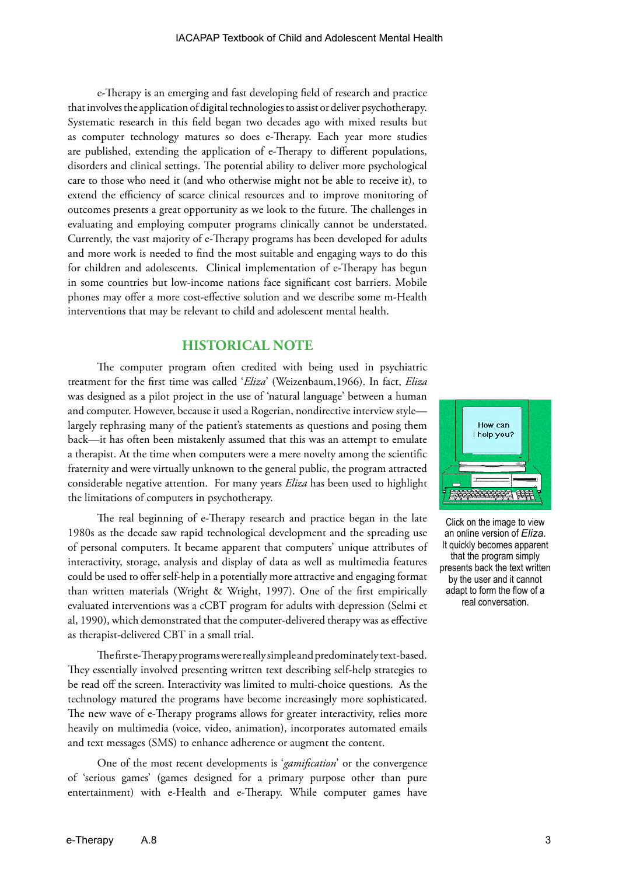e-Therapy is an emerging and fast developing field of research and practice that involves the application of digital technologies to assist or deliver psychotherapy. Systematic research in this field began two decades ago with mixed results but as computer technology matures so does e-Therapy. Each year more studies are published, extending the application of e-Therapy to different populations, disorders and clinical settings. The potential ability to deliver more psychological care to those who need it (and who otherwise might not be able to receive it), to extend the efficiency of scarce clinical resources and to improve monitoring of outcomes presents a great opportunity as we look to the future. The challenges in evaluating and employing computer programs clinically cannot be understated. Currently, the vast majority of e-Therapy programs has been developed for adults and more work is needed to find the most suitable and engaging ways to do this for children and adolescents. Clinical implementation of e-Therapy has begun in some countries but low-income nations face significant cost barriers. Mobile phones may offer a more cost-effective solution and we describe some m-Health interventions that may be relevant to child and adolescent mental health.

# **HISTORICAL NOTE**

The computer program often credited with being used in psychiatric treatment for the first time was called '*Eliza*' (Weizenbaum,1966). In fact, *Eliza* was designed as a pilot project in the use of 'natural language' between a human and computer. However, because it used a Rogerian, nondirective interview style largely rephrasing many of the patient's statements as questions and posing them back—it has often been mistakenly assumed that this was an attempt to emulate a therapist. At the time when computers were a mere novelty among the scientific fraternity and were virtually unknown to the general public, the program attracted considerable negative attention. For many years *Eliza* has been used to highlight the limitations of computers in psychotherapy.

The real beginning of e-Therapy research and practice began in the late 1980s as the decade saw rapid technological development and the spreading use of personal computers. It became apparent that computers' unique attributes of interactivity, storage, analysis and display of data as well as multimedia features could be used to offer self-help in a potentially more attractive and engaging format than written materials (Wright & Wright, 1997). One of the first empirically evaluated interventions was a cCBT program for adults with depression (Selmi et al, 1990), which demonstrated that the computer-delivered therapy was as effective as therapist-delivered CBT in a small trial.

The first e-Therapy programs were really simple and predominately text-based. They essentially involved presenting written text describing self-help strategies to be read off the screen. Interactivity was limited to multi-choice questions. As the technology matured the programs have become increasingly more sophisticated. The new wave of e-Therapy programs allows for greater interactivity, relies more heavily on multimedia (voice, video, animation), incorporates automated emails and text messages (SMS) to enhance adherence or augment the content.

One of the most recent developments is '*gamification*' or the convergence of 'serious games' (games designed for a primary purpose other than pure entertainment) with e-Health and e-Therapy. While computer games have



Click on the image to view an online version of *Eliza*. It quickly becomes apparent that the program simply presents back the text written by the user and it cannot adapt to form the flow of a real conversation.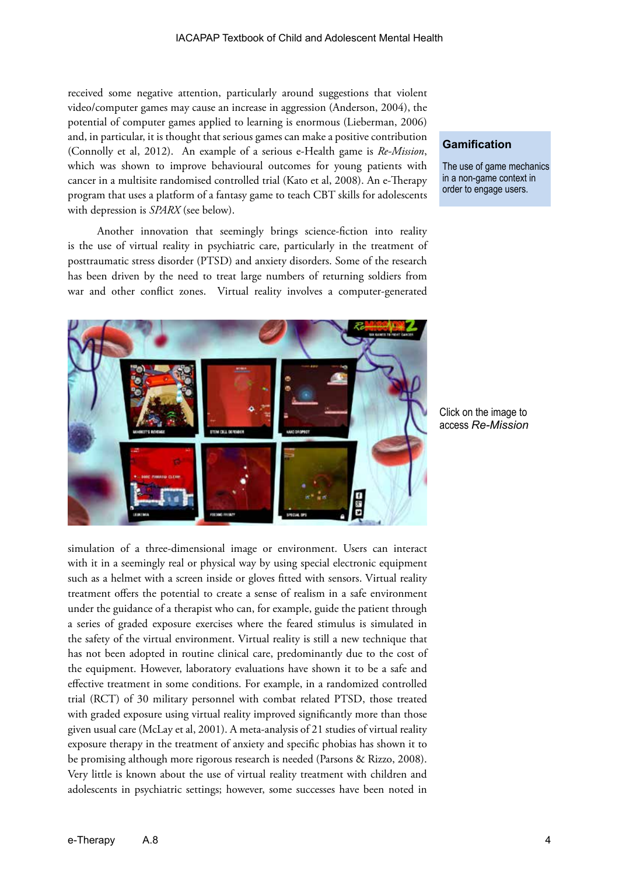received some negative attention, particularly around suggestions that violent video/computer games may cause an increase in aggression (Anderson, 2004), the potential of computer games applied to learning is enormous (Lieberman, 2006) and, in particular, it is thought that serious games can make a positive contribution (Connolly et al, 2012). An example of a serious e-Health game is *Re-Mission*, which was shown to improve behavioural outcomes for young patients with cancer in a multisite randomised controlled trial (Kato et al, 2008). An e-Therapy program that uses a platform of a fantasy game to teach CBT skills for adolescents with depression is *SPARX* (see below).

Another innovation that seemingly brings science-fiction into reality is the use of virtual reality in psychiatric care, particularly in the treatment of posttraumatic stress disorder (PTSD) and anxiety disorders. Some of the research has been driven by the need to treat large numbers of returning soldiers from war and other conflict zones. Virtual reality involves a computer-generated



simulation of a three-dimensional image or environment. Users can interact with it in a seemingly real or physical way by using special electronic equipment such as a helmet with a screen inside or gloves fitted with sensors. Virtual reality treatment offers the potential to create a sense of realism in a safe environment under the guidance of a therapist who can, for example, guide the patient through a series of graded exposure exercises where the feared stimulus is simulated in the safety of the virtual environment. Virtual reality is still a new technique that has not been adopted in routine clinical care, predominantly due to the cost of the equipment. However, laboratory evaluations have shown it to be a safe and effective treatment in some conditions. For example, in a randomized controlled trial (RCT) of 30 military personnel with combat related PTSD, those treated with graded exposure using virtual reality improved significantly more than those given usual care (McLay et al, 2001). A meta-analysis of 21 studies of virtual reality exposure therapy in the treatment of anxiety and specific phobias has shown it to be promising although more rigorous research is needed (Parsons & Rizzo, 2008). Very little is known about the use of virtual reality treatment with children and adolescents in psychiatric settings; however, some successes have been noted in

# **Gamification**

The use of game mechanics in a non-game context in order to engage users.

Click on the image to access *Re-Mission*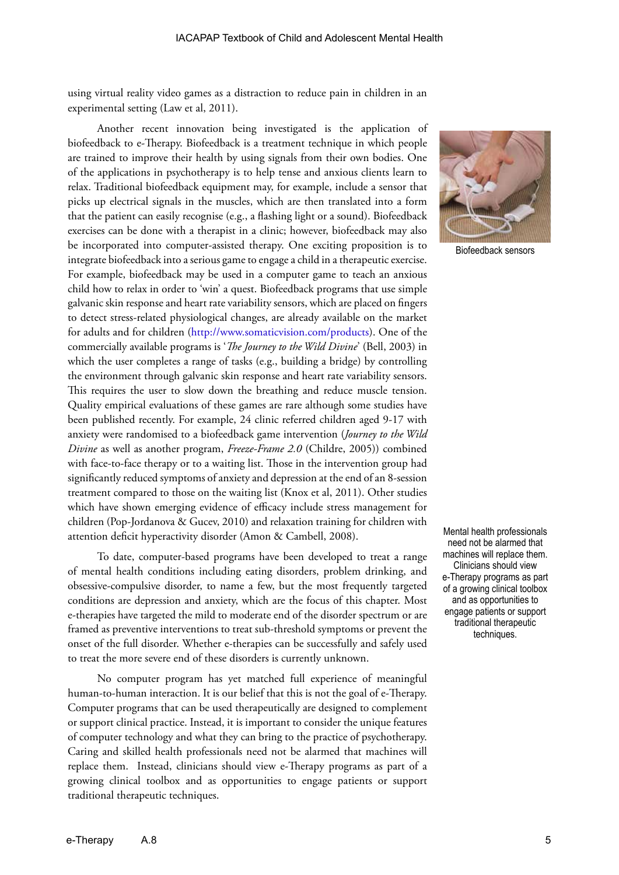using virtual reality video games as a distraction to reduce pain in children in an experimental setting (Law et al, 2011).

Another recent innovation being investigated is the application of biofeedback to e-Therapy. Biofeedback is a treatment technique in which people are trained to improve their health by using signals from their own bodies. One of the applications in psychotherapy is to help tense and anxious clients learn to relax. Traditional biofeedback equipment may, for example, include a sensor that picks up electrical signals in the muscles, which are then translated into a form that the patient can easily recognise (e.g., a flashing light or a sound). Biofeedback exercises can be done with a therapist in a clinic; however, biofeedback may also be incorporated into computer-assisted therapy. One exciting proposition is to integrate biofeedback into a serious game to engage a child in a therapeutic exercise. For example, biofeedback may be used in a computer game to teach an anxious child how to relax in order to 'win' a quest. Biofeedback programs that use simple galvanic skin response and heart rate variability sensors, which are placed on fingers to detect stress-related physiological changes, are already available on the market for adults and for children (<http://www.somaticvision.com/products>). One of the commercially available programs is '*The Journey to the Wild Divine*' (Bell, 2003) in which the user completes a range of tasks (e.g., building a bridge) by controlling the environment through galvanic skin response and heart rate variability sensors. This requires the user to slow down the breathing and reduce muscle tension. Quality empirical evaluations of these games are rare although some studies have been published recently. For example, 24 clinic referred children aged 9-17 with anxiety were randomised to a biofeedback game intervention (*Journey to the Wild Divine* as well as another program, *Freeze-Frame 2.0* (Childre, 2005)) combined with face-to-face therapy or to a waiting list. Those in the intervention group had significantly reduced symptoms of anxiety and depression at the end of an 8-session treatment compared to those on the waiting list (Knox et al, 2011). Other studies which have shown emerging evidence of efficacy include stress management for children (Pop-Jordanova & Gucev, 2010) and relaxation training for children with attention deficit hyperactivity disorder (Amon & Cambell, 2008).

To date, computer-based programs have been developed to treat a range of mental health conditions including eating disorders, problem drinking, and obsessive-compulsive disorder, to name a few, but the most frequently targeted conditions are depression and anxiety, which are the focus of this chapter. Most e-therapies have targeted the mild to moderate end of the disorder spectrum or are framed as preventive interventions to treat sub-threshold symptoms or prevent the onset of the full disorder. Whether e-therapies can be successfully and safely used to treat the more severe end of these disorders is currently unknown.

No computer program has yet matched full experience of meaningful human-to-human interaction. It is our belief that this is not the goal of e-Therapy. Computer programs that can be used therapeutically are designed to complement or support clinical practice. Instead, it is important to consider the unique features of computer technology and what they can bring to the practice of psychotherapy. Caring and skilled health professionals need not be alarmed that machines will replace them. Instead, clinicians should view e-Therapy programs as part of a growing clinical toolbox and as opportunities to engage patients or support traditional therapeutic techniques.



Biofeedback sensors

Mental health professionals need not be alarmed that machines will replace them. Clinicians should view e-Therapy programs as part of a growing clinical toolbox and as opportunities to engage patients or support traditional therapeutic techniques.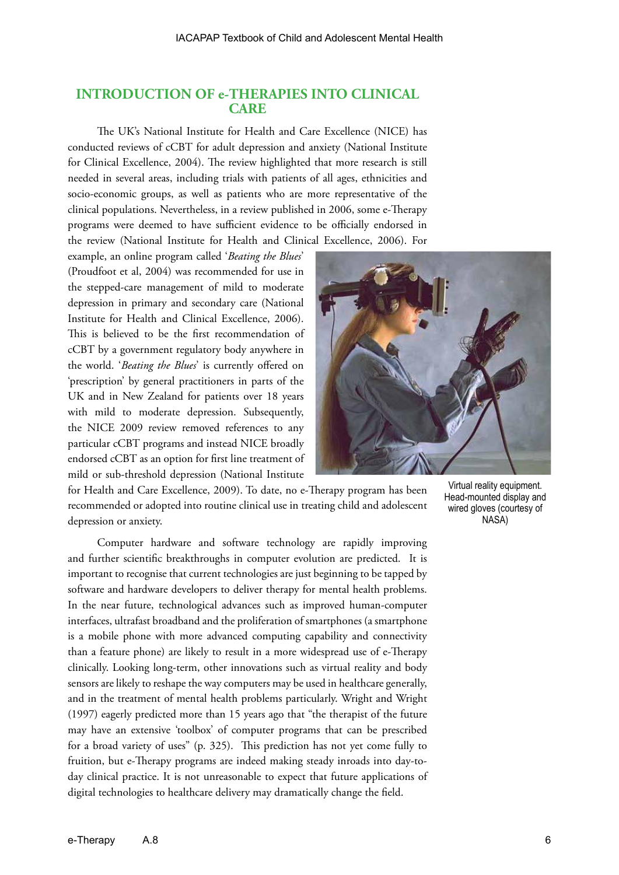# **INTRODUCTION OF e-THERAPIES INTO CLINICAL CARE**

The UK's National Institute for Health and Care Excellence (NICE) has conducted reviews of cCBT for adult depression and anxiety (National Institute for Clinical Excellence, 2004). The review highlighted that more research is still needed in several areas, including trials with patients of all ages, ethnicities and socio-economic groups, as well as patients who are more representative of the clinical populations. Nevertheless, in a review published in 2006, some e-Therapy programs were deemed to have sufficient evidence to be officially endorsed in the review (National Institute for Health and Clinical Excellence, 2006). For

example, an online program called '*Beating the Blues*' (Proudfoot et al, 2004) was recommended for use in the stepped-care management of mild to moderate depression in primary and secondary care (National Institute for Health and Clinical Excellence, 2006). This is believed to be the first recommendation of cCBT by a government regulatory body anywhere in the world. '*Beating the Blues*' is currently offered on 'prescription' by general practitioners in parts of the UK and in New Zealand for patients over 18 years with mild to moderate depression. Subsequently, the NICE 2009 review removed references to any particular cCBT programs and instead NICE broadly endorsed cCBT as an option for first line treatment of mild or sub-threshold depression (National Institute



for Health and Care Excellence, 2009). To date, no e-Therapy program has been recommended or adopted into routine clinical use in treating child and adolescent depression or anxiety.

Computer hardware and software technology are rapidly improving and further scientific breakthroughs in computer evolution are predicted. It is important to recognise that current technologies are just beginning to be tapped by software and hardware developers to deliver therapy for mental health problems. In the near future, technological advances such as improved human-computer interfaces, ultrafast broadband and the proliferation of smartphones (a smartphone is a mobile phone with more advanced computing capability and connectivity than a feature phone) are likely to result in a more widespread use of e-Therapy clinically. Looking long-term, other innovations such as virtual reality and body sensors are likely to reshape the way computers may be used in healthcare generally, and in the treatment of mental health problems particularly. Wright and Wright (1997) eagerly predicted more than 15 years ago that "the therapist of the future may have an extensive 'toolbox' of computer programs that can be prescribed for a broad variety of uses" (p. 325). This prediction has not yet come fully to fruition, but e-Therapy programs are indeed making steady inroads into day-today clinical practice. It is not unreasonable to expect that future applications of digital technologies to healthcare delivery may dramatically change the field.

Virtual reality equipment. Head-mounted display and wired gloves (courtesy of NASA)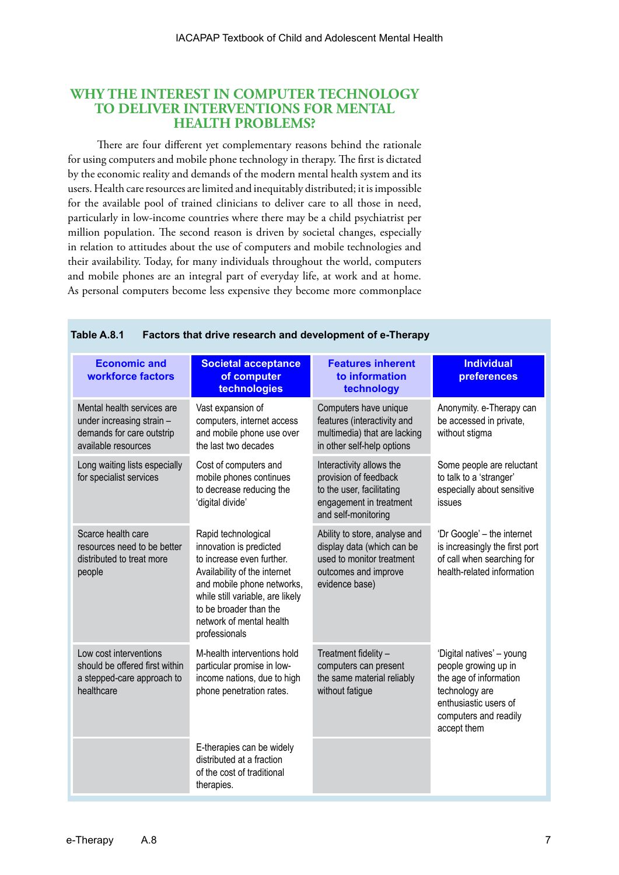# **WHY THE INTEREST IN COMPUTER TECHNOLOGY TO DELIVER INTERVENTIONS FOR MENTAL HEALTH PROBLEMS?**

There are four different yet complementary reasons behind the rationale for using computers and mobile phone technology in therapy. The first is dictated by the economic reality and demands of the modern mental health system and its users. Health care resources are limited and inequitably distributed; it is impossible for the available pool of trained clinicians to deliver care to all those in need, particularly in low-income countries where there may be a child psychiatrist per million population. The second reason is driven by societal changes, especially in relation to attitudes about the use of computers and mobile technologies and their availability. Today, for many individuals throughout the world, computers and mobile phones are an integral part of everyday life, at work and at home. As personal computers become less expensive they become more commonplace

| <b>Economic and</b><br>workforce factors                                                                    | <b>Societal acceptance</b><br>of computer<br>technologies                                                                                                                                                                                            | <b>Features inherent</b><br>to information<br>technology                                                                           | <b>Individual</b><br>preferences                                                                                                                               |
|-------------------------------------------------------------------------------------------------------------|------------------------------------------------------------------------------------------------------------------------------------------------------------------------------------------------------------------------------------------------------|------------------------------------------------------------------------------------------------------------------------------------|----------------------------------------------------------------------------------------------------------------------------------------------------------------|
| Mental health services are<br>under increasing strain -<br>demands for care outstrip<br>available resources | Vast expansion of<br>computers, internet access<br>and mobile phone use over<br>the last two decades                                                                                                                                                 | Computers have unique<br>features (interactivity and<br>multimedia) that are lacking<br>in other self-help options                 | Anonymity. e-Therapy can<br>be accessed in private,<br>without stigma                                                                                          |
| Long waiting lists especially<br>for specialist services                                                    | Cost of computers and<br>mobile phones continues<br>to decrease reducing the<br>'digital divide'                                                                                                                                                     | Interactivity allows the<br>provision of feedback<br>to the user, facilitating<br>engagement in treatment<br>and self-monitoring   | Some people are reluctant<br>to talk to a 'stranger'<br>especially about sensitive<br>issues                                                                   |
| Scarce health care<br>resources need to be better<br>distributed to treat more<br>people                    | Rapid technological<br>innovation is predicted<br>to increase even further.<br>Availability of the internet<br>and mobile phone networks,<br>while still variable, are likely<br>to be broader than the<br>network of mental health<br>professionals | Ability to store, analyse and<br>display data (which can be<br>used to monitor treatment<br>outcomes and improve<br>evidence base) | 'Dr Google' – the internet<br>is increasingly the first port<br>of call when searching for<br>health-related information                                       |
| Low cost interventions<br>should be offered first within<br>a stepped-care approach to<br>healthcare        | M-health interventions hold<br>particular promise in low-<br>income nations, due to high<br>phone penetration rates.                                                                                                                                 | Treatment fidelity -<br>computers can present<br>the same material reliably<br>without fatigue                                     | 'Digital natives' - young<br>people growing up in<br>the age of information<br>technology are<br>enthusiastic users of<br>computers and readily<br>accept them |
|                                                                                                             | E-therapies can be widely<br>distributed at a fraction<br>of the cost of traditional<br>therapies.                                                                                                                                                   |                                                                                                                                    |                                                                                                                                                                |

#### **Table A.8.1 Factors that drive research and development of e-Therapy**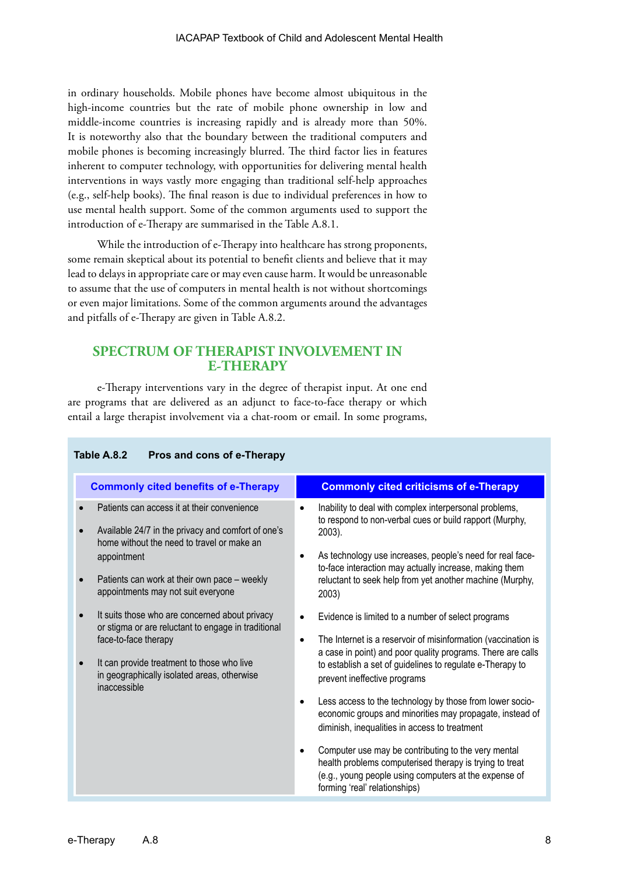in ordinary households. Mobile phones have become almost ubiquitous in the high-income countries but the rate of mobile phone ownership in low and middle-income countries is increasing rapidly and is already more than 50%. It is noteworthy also that the boundary between the traditional computers and mobile phones is becoming increasingly blurred. The third factor lies in features inherent to computer technology, with opportunities for delivering mental health interventions in ways vastly more engaging than traditional self-help approaches (e.g., self-help books). The final reason is due to individual preferences in how to use mental health support. Some of the common arguments used to support the introduction of e-Therapy are summarised in the Table A.8.1.

While the introduction of e-Therapy into healthcare has strong proponents, some remain skeptical about its potential to benefit clients and believe that it may lead to delays in appropriate care or may even cause harm. It would be unreasonable to assume that the use of computers in mental health is not without shortcomings or even major limitations. Some of the common arguments around the advantages and pitfalls of e-Therapy are given in Table A.8.2.

# **SPECTRUM OF THERAPIST INVOLVEMENT IN E-THERAPY**

e-Therapy interventions vary in the degree of therapist input. At one end are programs that are delivered as an adjunct to face-to-face therapy or which entail a large therapist involvement via a chat-room or email. In some programs,

# **Table A.8.2 Pros and cons of e-Therapy**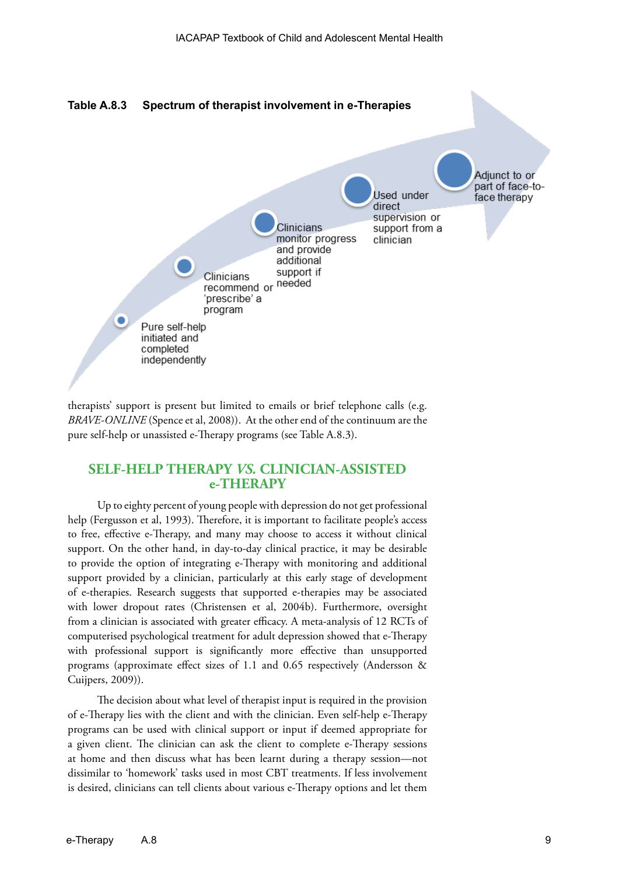

therapists' support is present but limited to emails or brief telephone calls (e.g. *BRAVE-ONLINE* (Spence et al, 2008)). At the other end of the continuum are the pure self-help or unassisted e-Therapy programs (see Table A.8.3).

# **SELF-HELP THERAPY** *VS.* **CLINICIAN-ASSISTED e-THERAPY**

Up to eighty percent of young people with depression do not get professional help (Fergusson et al, 1993). Therefore, it is important to facilitate people's access to free, effective e-Therapy, and many may choose to access it without clinical support. On the other hand, in day-to-day clinical practice, it may be desirable to provide the option of integrating e-Therapy with monitoring and additional support provided by a clinician, particularly at this early stage of development of e-therapies. Research suggests that supported e-therapies may be associated with lower dropout rates (Christensen et al, 2004b). Furthermore, oversight from a clinician is associated with greater efficacy. A meta-analysis of 12 RCTs of computerised psychological treatment for adult depression showed that e-Therapy with professional support is significantly more effective than unsupported programs (approximate effect sizes of 1.1 and 0.65 respectively (Andersson & Cuijpers, 2009)).

The decision about what level of therapist input is required in the provision of e-Therapy lies with the client and with the clinician. Even self-help e-Therapy programs can be used with clinical support or input if deemed appropriate for a given client. The clinician can ask the client to complete e-Therapy sessions at home and then discuss what has been learnt during a therapy session—not dissimilar to 'homework' tasks used in most CBT treatments. If less involvement is desired, clinicians can tell clients about various e-Therapy options and let them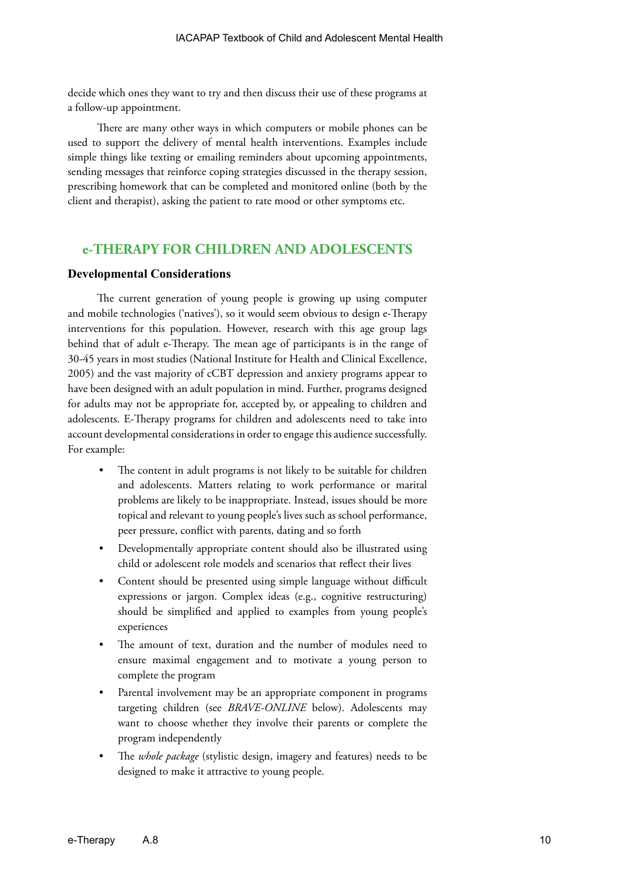decide which ones they want to try and then discuss their use of these programs at a follow-up appointment.

There are many other ways in which computers or mobile phones can be used to support the delivery of mental health interventions. Examples include simple things like texting or emailing reminders about upcoming appointments, sending messages that reinforce coping strategies discussed in the therapy session, prescribing homework that can be completed and monitored online (both by the client and therapist), asking the patient to rate mood or other symptoms etc.

# **e-THERAPY FOR CHILDREN AND ADOLESCENTS**

#### **Developmental Considerations**

The current generation of young people is growing up using computer and mobile technologies ('natives'), so it would seem obvious to design e-Therapy interventions for this population. However, research with this age group lags behind that of adult e-Therapy. The mean age of participants is in the range of 30-45 years in most studies (National Institute for Health and Clinical Excellence, 2005) and the vast majority of cCBT depression and anxiety programs appear to have been designed with an adult population in mind. Further, programs designed for adults may not be appropriate for, accepted by, or appealing to children and adolescents. E-Therapy programs for children and adolescents need to take into account developmental considerations in order to engage this audience successfully. For example:

- The content in adult programs is not likely to be suitable for children and adolescents. Matters relating to work performance or marital problems are likely to be inappropriate. Instead, issues should be more topical and relevant to young people's lives such as school performance, peer pressure, conflict with parents, dating and so forth
- Developmentally appropriate content should also be illustrated using child or adolescent role models and scenarios that reflect their lives
- Content should be presented using simple language without difficult expressions or jargon. Complex ideas (e.g., cognitive restructuring) should be simplified and applied to examples from young people's experiences
- The amount of text, duration and the number of modules need to ensure maximal engagement and to motivate a young person to complete the program
- Parental involvement may be an appropriate component in programs targeting children (see *BRAVE-ONLINE* below). Adolescents may want to choose whether they involve their parents or complete the program independently
- The *whole package* (stylistic design, imagery and features) needs to be designed to make it attractive to young people.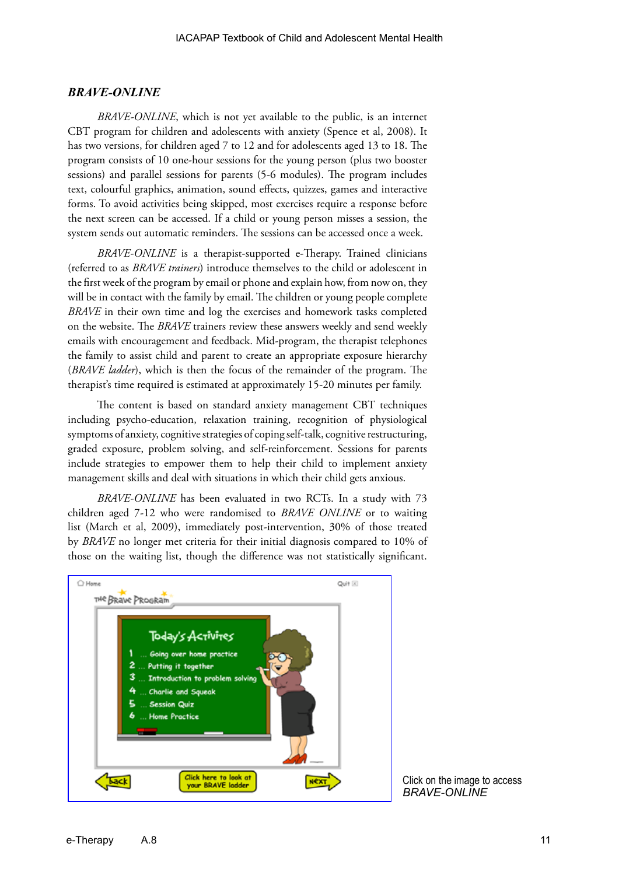#### *BRAVE-ONLINE*

*BRAVE-ONLINE*, which is not yet available to the public, is an internet CBT program for children and adolescents with anxiety (Spence et al, 2008). It has two versions, for children aged 7 to 12 and for adolescents aged 13 to 18. The program consists of 10 one-hour sessions for the young person (plus two booster sessions) and parallel sessions for parents (5-6 modules). The program includes text, colourful graphics, animation, sound effects, quizzes, games and interactive forms. To avoid activities being skipped, most exercises require a response before the next screen can be accessed. If a child or young person misses a session, the system sends out automatic reminders. The sessions can be accessed once a week.

*BRAVE-ONLINE* is a therapist-supported e-Therapy. Trained clinicians (referred to as *BRAVE trainers*) introduce themselves to the child or adolescent in the first week of the program by email or phone and explain how, from now on, they will be in contact with the family by email. The children or young people complete *BRAVE* in their own time and log the exercises and homework tasks completed on the website. The *BRAVE* trainers review these answers weekly and send weekly emails with encouragement and feedback. Mid-program, the therapist telephones the family to assist child and parent to create an appropriate exposure hierarchy (*BRAVE ladder*), which is then the focus of the remainder of the program. The therapist's time required is estimated at approximately 15-20 minutes per family.

The content is based on standard anxiety management CBT techniques including psycho-education, relaxation training, recognition of physiological symptoms of anxiety, cognitive strategies of coping self-talk, cognitive restructuring, graded exposure, problem solving, and self-reinforcement. Sessions for parents include strategies to empower them to help their child to implement anxiety management skills and deal with situations in which their child gets anxious.

*BRAVE-ONLINE* has been evaluated in two RCTs. In a study with 73 children aged 7-12 who were randomised to *BRAVE ONLINE* or to waiting list (March et al, 2009), immediately post-intervention, 30% of those treated by *BRAVE* no longer met criteria for their initial diagnosis compared to 10% of those on the waiting list, though the difference was not statistically significant.



Click on the image to access *BRAVE-ONLINE*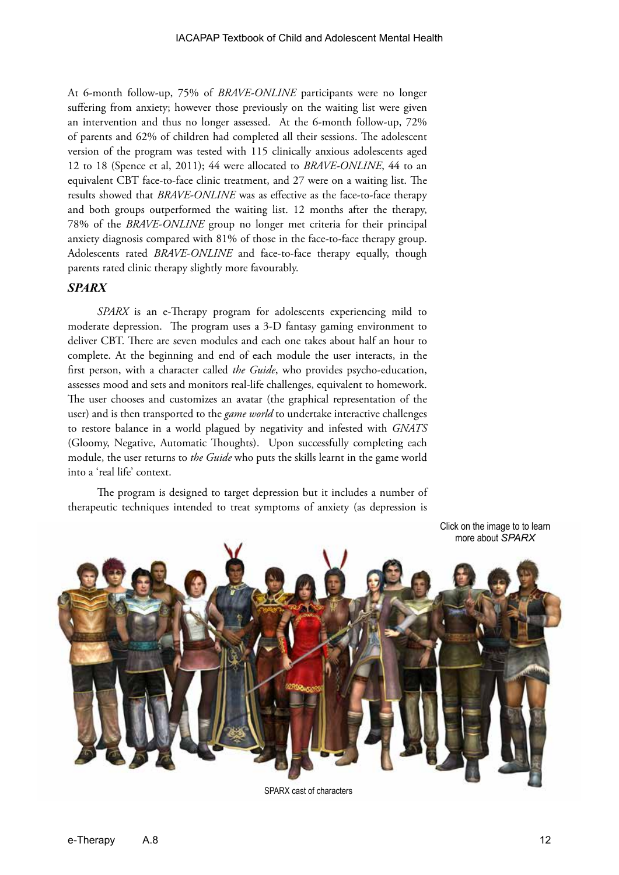At 6-month follow-up, 75% of *BRAVE-ONLINE* participants were no longer suffering from anxiety; however those previously on the waiting list were given an intervention and thus no longer assessed. At the 6-month follow-up, 72% of parents and 62% of children had completed all their sessions. The adolescent version of the program was tested with 115 clinically anxious adolescents aged 12 to 18 (Spence et al, 2011); 44 were allocated to *BRAVE-ONLINE*, 44 to an equivalent CBT face-to-face clinic treatment, and 27 were on a waiting list. The results showed that *BRAVE-ONLINE* was as effective as the face-to-face therapy and both groups outperformed the waiting list. 12 months after the therapy, 78% of the *BRAVE-ONLINE* group no longer met criteria for their principal anxiety diagnosis compared with 81% of those in the face-to-face therapy group. Adolescents rated *BRAVE-ONLINE* and face-to-face therapy equally, though parents rated clinic therapy slightly more favourably.

#### *SPARX*

*SPARX* is an e-Therapy program for adolescents experiencing mild to moderate depression. The program uses a 3-D fantasy gaming environment to deliver CBT. There are seven modules and each one takes about half an hour to complete. At the beginning and end of each module the user interacts, in the first person, with a character called *the Guide*, who provides psycho-education, assesses mood and sets and monitors real-life challenges, equivalent to homework. The user chooses and customizes an avatar (the graphical representation of the user) and is then transported to the *game world* to undertake interactive challenges to restore balance in a world plagued by negativity and infested with *GNATS* (Gloomy, Negative, Automatic Thoughts). Upon successfully completing each module, the user returns to *the Guide* who puts the skills learnt in the game world into a 'real life' context.

The program is designed to target depression but it includes a number of therapeutic techniques intended to treat symptoms of anxiety (as depression is



SPARX cast of characters

[Click on the image to to learn](http://www.sparx.org.nz/)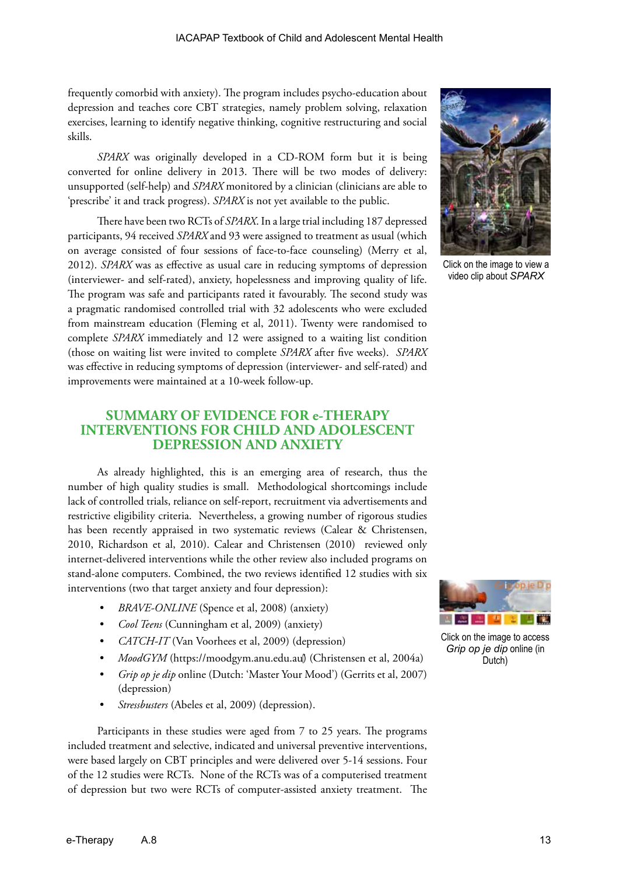frequently comorbid with anxiety). The program includes psycho-education about depression and teaches core CBT strategies, namely problem solving, relaxation exercises, learning to identify negative thinking, cognitive restructuring and social skills.

*SPARX* was originally developed in a CD-ROM form but it is being converted for online delivery in 2013. There will be two modes of delivery: unsupported (self-help) and *SPARX* monitored by a clinician (clinicians are able to 'prescribe' it and track progress). *SPARX* is not yet available to the public.

There have been two RCTs of *SPARX*. In a large trial including 187 depressed participants, 94 received *SPARX* and 93 were assigned to treatment as usual (which on average consisted of four sessions of face-to-face counseling) (Merry et al, 2012). *SPARX* was as effective as usual care in reducing symptoms of depression (interviewer- and self-rated), anxiety, hopelessness and improving quality of life. The program was safe and participants rated it favourably. The second study was a pragmatic randomised controlled trial with 32 adolescents who were excluded from mainstream education (Fleming et al, 2011). Twenty were randomised to complete *SPARX* immediately and 12 were assigned to a waiting list condition (those on waiting list were invited to complete *SPARX* after five weeks). *SPARX* was effective in reducing symptoms of depression (interviewer- and self-rated) and improvements were maintained at a 10-week follow-up.



As already highlighted, this is an emerging area of research, thus the number of high quality studies is small. Methodological shortcomings include lack of controlled trials, reliance on self-report, recruitment via advertisements and restrictive eligibility criteria. Nevertheless, a growing number of rigorous studies has been recently appraised in two systematic reviews (Calear & Christensen, 2010, Richardson et al, 2010). Calear and Christensen (2010) reviewed only internet-delivered interventions while the other review also included programs on stand-alone computers. Combined, the two reviews identified 12 studies with six interventions (two that target anxiety and four depression):

- *• BRAVE-ONLINE* (Spence et al, 2008) (anxiety)
- *• Cool Teens* (Cunningham et al, 2009) (anxiety)
- *• CATCH-IT* (Van Voorhees et al, 2009) (depression)
- *• MoodGYM* (https://moodgym.anu.edu.au) (Christensen et al, 2004a)
- *• Grip op je dip* online (Dutch: 'Master Your Mood') (Gerrits et al, 2007) (depression)
- *• Stressbusters* (Abeles et al, 2009) (depression).

Participants in these studies were aged from 7 to 25 years. The programs included treatment and selective, indicated and universal preventive interventions, were based largely on CBT principles and were delivered over 5-14 sessions. Four of the 12 studies were RCTs. None of the RCTs was of a computerised treatment of depression but two were RCTs of computer-assisted anxiety treatment. The



Click on the image to view a video clip about *SPARX*



Click on the image to access *Grip op je dip* online (in Dutch)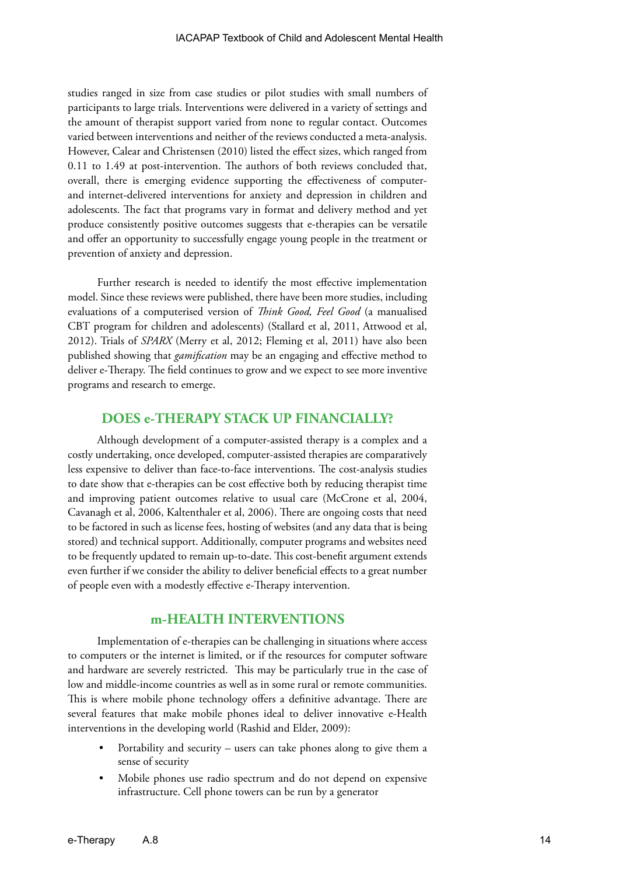studies ranged in size from case studies or pilot studies with small numbers of participants to large trials. Interventions were delivered in a variety of settings and the amount of therapist support varied from none to regular contact. Outcomes varied between interventions and neither of the reviews conducted a meta-analysis. However, Calear and Christensen (2010) listed the effect sizes, which ranged from 0.11 to 1.49 at post-intervention. The authors of both reviews concluded that, overall, there is emerging evidence supporting the effectiveness of computerand internet-delivered interventions for anxiety and depression in children and adolescents. The fact that programs vary in format and delivery method and yet produce consistently positive outcomes suggests that e-therapies can be versatile and offer an opportunity to successfully engage young people in the treatment or prevention of anxiety and depression.

Further research is needed to identify the most effective implementation model. Since these reviews were published, there have been more studies, including evaluations of a computerised version of *Think Good, Feel Good* (a manualised CBT program for children and adolescents) (Stallard et al, 2011, Attwood et al, 2012). Trials of *SPARX* (Merry et al, 2012; Fleming et al, 2011) have also been published showing that *gamification* may be an engaging and effective method to deliver e-Therapy. The field continues to grow and we expect to see more inventive programs and research to emerge.

### **DOES e-THERAPY STACK UP FINANCIALLY?**

Although development of a computer-assisted therapy is a complex and a costly undertaking, once developed, computer-assisted therapies are comparatively less expensive to deliver than face-to-face interventions. The cost-analysis studies to date show that e-therapies can be cost effective both by reducing therapist time and improving patient outcomes relative to usual care (McCrone et al, 2004, Cavanagh et al, 2006, Kaltenthaler et al, 2006). There are ongoing costs that need to be factored in such as license fees, hosting of websites (and any data that is being stored) and technical support. Additionally, computer programs and websites need to be frequently updated to remain up-to-date. This cost-benefit argument extends even further if we consider the ability to deliver beneficial effects to a great number of people even with a modestly effective e-Therapy intervention.

# **m-HEALTH INTERVENTIONS**

Implementation of e-therapies can be challenging in situations where access to computers or the internet is limited, or if the resources for computer software and hardware are severely restricted. This may be particularly true in the case of low and middle-income countries as well as in some rural or remote communities. This is where mobile phone technology offers a definitive advantage. There are several features that make mobile phones ideal to deliver innovative e-Health interventions in the developing world (Rashid and Elder, 2009):

- Portability and security users can take phones along to give them a sense of security
- Mobile phones use radio spectrum and do not depend on expensive infrastructure. Cell phone towers can be run by a generator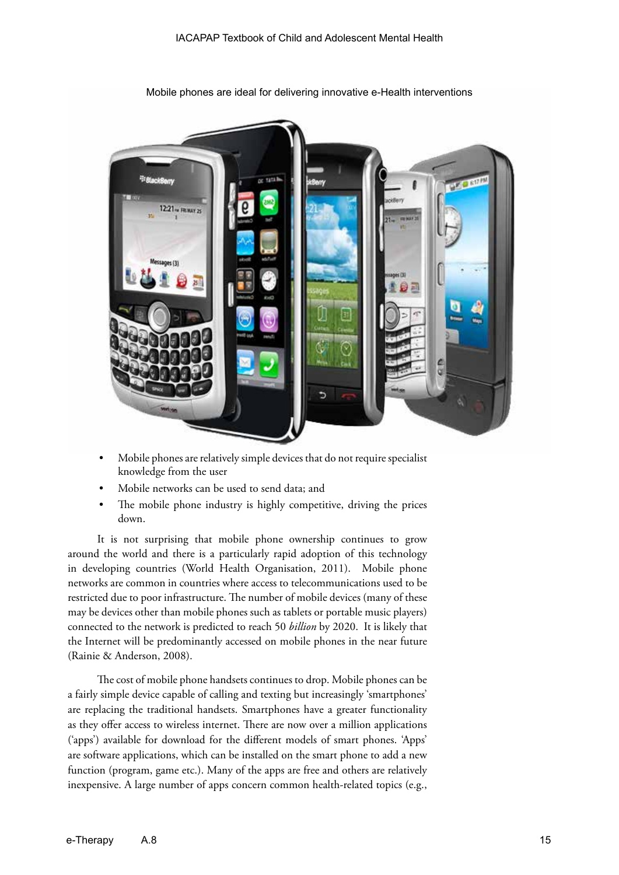

Mobile phones are ideal for delivering innovative e-Health interventions

- Mobile phones are relatively simple devices that do not require specialist knowledge from the user
- Mobile networks can be used to send data; and
- The mobile phone industry is highly competitive, driving the prices down.

It is not surprising that mobile phone ownership continues to grow around the world and there is a particularly rapid adoption of this technology in developing countries (World Health Organisation, 2011). Mobile phone networks are common in countries where access to telecommunications used to be restricted due to poor infrastructure. The number of mobile devices (many of these may be devices other than mobile phones such as tablets or portable music players) connected to the network is predicted to reach 50 *billion* by 2020. It is likely that the Internet will be predominantly accessed on mobile phones in the near future (Rainie & Anderson, 2008).

The cost of mobile phone handsets continues to drop. Mobile phones can be a fairly simple device capable of calling and texting but increasingly 'smartphones' are replacing the traditional handsets. Smartphones have a greater functionality as they offer access to wireless internet. There are now over a million applications ('apps') available for download for the different models of smart phones. 'Apps' are software applications, which can be installed on the smart phone to add a new function (program, game etc.). Many of the apps are free and others are relatively inexpensive. A large number of apps concern common health-related topics (e.g.,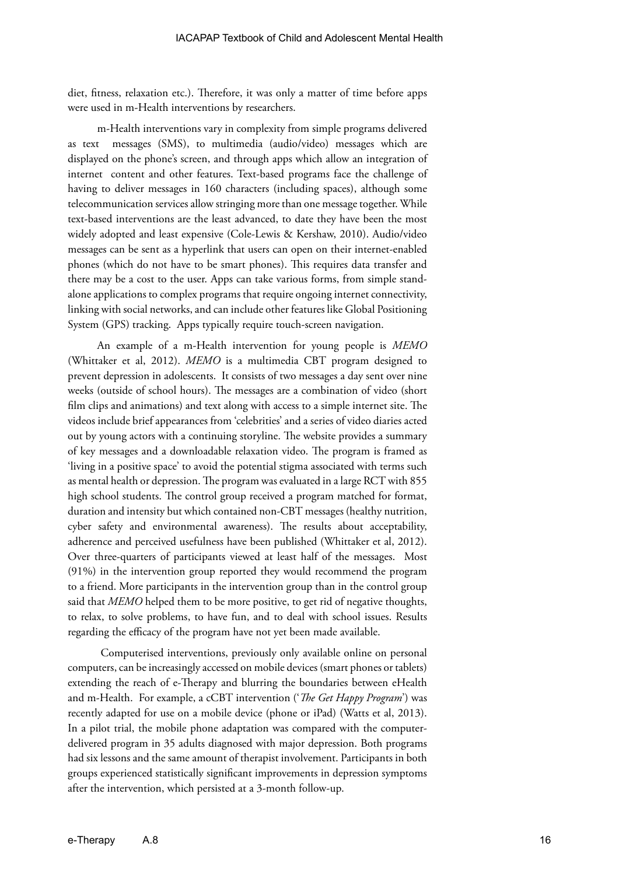diet, fitness, relaxation etc.). Therefore, it was only a matter of time before apps were used in m-Health interventions by researchers.

m-Health interventions vary in complexity from simple programs delivered as text messages (SMS), to multimedia (audio/video) messages which are displayed on the phone's screen, and through apps which allow an integration of internet content and other features. Text-based programs face the challenge of having to deliver messages in 160 characters (including spaces), although some telecommunication services allow stringing more than one message together. While text-based interventions are the least advanced, to date they have been the most widely adopted and least expensive (Cole-Lewis & Kershaw, 2010). Audio/video messages can be sent as a hyperlink that users can open on their internet-enabled phones (which do not have to be smart phones). This requires data transfer and there may be a cost to the user. Apps can take various forms, from simple standalone applications to complex programs that require ongoing internet connectivity, linking with social networks, and can include other features like Global Positioning System (GPS) tracking. Apps typically require touch-screen navigation.

An example of a m-Health intervention for young people is *MEMO* (Whittaker et al, 2012). *MEMO* is a multimedia CBT program designed to prevent depression in adolescents. It consists of two messages a day sent over nine weeks (outside of school hours). The messages are a combination of video (short film clips and animations) and text along with access to a simple internet site. The videos include brief appearances from 'celebrities' and a series of video diaries acted out by young actors with a continuing storyline. The website provides a summary of key messages and a downloadable relaxation video. The program is framed as 'living in a positive space' to avoid the potential stigma associated with terms such as mental health or depression. The program was evaluated in a large RCT with 855 high school students. The control group received a program matched for format, duration and intensity but which contained non-CBT messages (healthy nutrition, cyber safety and environmental awareness). The results about acceptability, adherence and perceived usefulness have been published (Whittaker et al, 2012). Over three-quarters of participants viewed at least half of the messages. Most (91%) in the intervention group reported they would recommend the program to a friend. More participants in the intervention group than in the control group said that *MEMO* helped them to be more positive, to get rid of negative thoughts, to relax, to solve problems, to have fun, and to deal with school issues. Results regarding the efficacy of the program have not yet been made available.

 Computerised interventions, previously only available online on personal computers, can be increasingly accessed on mobile devices (smart phones or tablets) extending the reach of e-Therapy and blurring the boundaries between eHealth and m-Health. For example, a cCBT intervention ('*The Get Happy Program*') was recently adapted for use on a mobile device (phone or iPad) (Watts et al, 2013). In a pilot trial, the mobile phone adaptation was compared with the computerdelivered program in 35 adults diagnosed with major depression. Both programs had six lessons and the same amount of therapist involvement. Participants in both groups experienced statistically significant improvements in depression symptoms after the intervention, which persisted at a 3-month follow-up.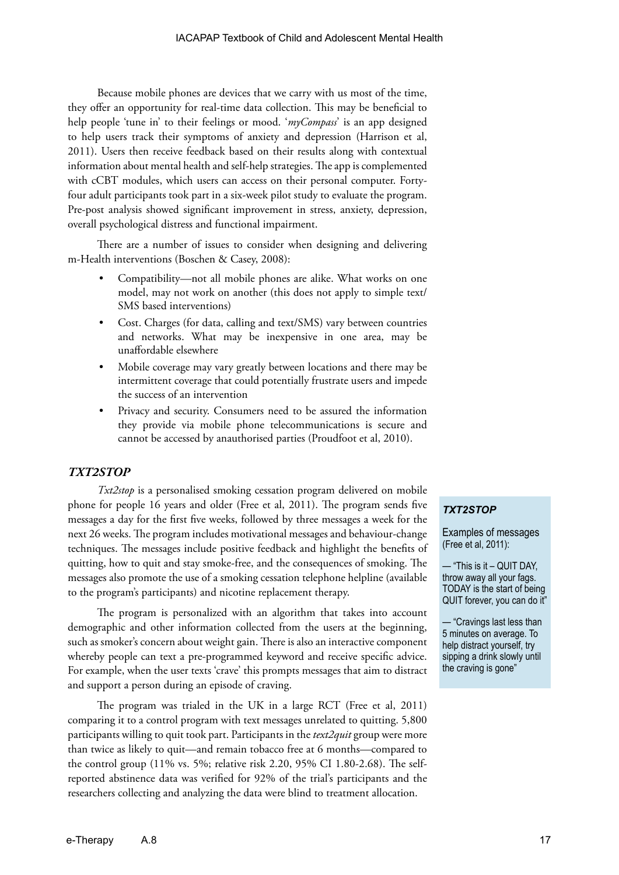Because mobile phones are devices that we carry with us most of the time, they offer an opportunity for real-time data collection. This may be beneficial to help people 'tune in' to their feelings or mood. '*myCompass*' is an app designed to help users track their symptoms of anxiety and depression (Harrison et al, 2011). Users then receive feedback based on their results along with contextual information about mental health and self-help strategies. The app is complemented with cCBT modules, which users can access on their personal computer. Fortyfour adult participants took part in a six-week pilot study to evaluate the program. Pre-post analysis showed significant improvement in stress, anxiety, depression, overall psychological distress and functional impairment.

There are a number of issues to consider when designing and delivering m-Health interventions (Boschen & Casey, 2008):

- Compatibility—not all mobile phones are alike. What works on one model, may not work on another (this does not apply to simple text/ SMS based interventions)
- Cost. Charges (for data, calling and text/SMS) vary between countries and networks. What may be inexpensive in one area, may be unaffordable elsewhere
- Mobile coverage may vary greatly between locations and there may be intermittent coverage that could potentially frustrate users and impede the success of an intervention
- Privacy and security. Consumers need to be assured the information they provide via mobile phone telecommunications is secure and cannot be accessed by anauthorised parties (Proudfoot et al, 2010).

#### *TXT2STOP*

*Txt2stop* is a personalised smoking cessation program delivered on mobile phone for people 16 years and older (Free et al, 2011). The program sends five messages a day for the first five weeks, followed by three messages a week for the next 26 weeks. The program includes motivational messages and behaviour-change techniques. The messages include positive feedback and highlight the benefits of quitting, how to quit and stay smoke-free, and the consequences of smoking. The messages also promote the use of a smoking cessation telephone helpline (available to the program's participants) and nicotine replacement therapy.

The program is personalized with an algorithm that takes into account demographic and other information collected from the users at the beginning, such as smoker's concern about weight gain. There is also an interactive component whereby people can text a pre-programmed keyword and receive specific advice. For example, when the user texts 'crave' this prompts messages that aim to distract and support a person during an episode of craving.

The program was trialed in the UK in a large RCT (Free et al, 2011) comparing it to a control program with text messages unrelated to quitting. 5,800 participants willing to quit took part. Participants in the *text2quit* group were more than twice as likely to quit—and remain tobacco free at 6 months—compared to the control group (11% vs. 5%; relative risk 2.20, 95% CI 1.80-2.68). The selfreported abstinence data was verified for 92% of the trial's participants and the researchers collecting and analyzing the data were blind to treatment allocation.

#### *TXT2STOP*

Examples of messages (Free et al, 2011):

— "This is it – QUIT DAY, throw away all your fags. TODAY is the start of being QUIT forever, you can do it"

— "Cravings last less than 5 minutes on average. To help distract yourself, try sipping a drink slowly until the craving is gone"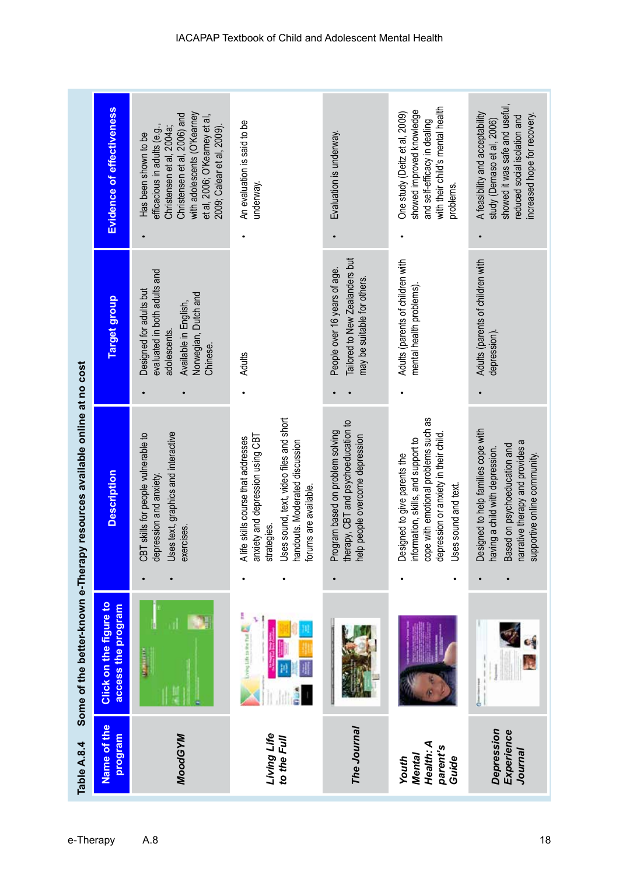| Table A.8.4                                              |                                              | Some of the better-known e-Therapy resources available online at no cost                                                                                                                     |                                                                                                                                      |                                                                                                                                                                                                               |
|----------------------------------------------------------|----------------------------------------------|----------------------------------------------------------------------------------------------------------------------------------------------------------------------------------------------|--------------------------------------------------------------------------------------------------------------------------------------|---------------------------------------------------------------------------------------------------------------------------------------------------------------------------------------------------------------|
| Name of the<br>program                                   | Click on the figure to<br>access the program | <b>Description</b>                                                                                                                                                                           | Target group                                                                                                                         | <b>Evidence of effectiveness</b>                                                                                                                                                                              |
| <b>MoodGYM</b>                                           | <b>Continued</b>                             | Uses text, graphics and interactive<br>CBT skills for people vulnerable to<br>depression and anxiety<br>exercises.                                                                           | evaluated in both adults and<br>Designed for adults but<br>Norwegian, Dutch and<br>Available in English,<br>adolescents.<br>Chinese. | with adolescents (O'Kearney<br>Christensen et al, 2006) and<br>et al, 2006; O'Kearney et al<br>efficacious in adults (e.g.,<br>Christensen et al, 2004a;<br>2009; Calear et al, 2009)<br>Has been shown to be |
| Living Life<br>to the Full                               | H<br>Looky Life to the Fat                   | Uses sound, text, video files and short<br>anxiety and depression using CBT<br>A life skills course that addresses<br>handouts. Moderated discussion<br>forums are available.<br>strategies. | <b>Adults</b>                                                                                                                        | An evaluation is said to be<br>underway.                                                                                                                                                                      |
| The Journal                                              |                                              | therapy, CBT and psychoeducation to<br>Program based on problem solving<br>help people overcome depression                                                                                   | Tailored to New Zealanders but<br>People over 16 years of age.<br>may be suitable for others.                                        | Evaluation is underway.                                                                                                                                                                                       |
| Health: A<br>parent's<br><b>Mental</b><br>Guide<br>Youth |                                              | cope with emotional problems such as<br>depression or anxiety in their child<br>information, skills, and support to<br>Designed to give parents the<br>Uses sound and text.<br>٠             | Adults (parents of children with<br>mental health problems).                                                                         | with their child's mental health<br>showed improved knowledge<br>One study (Deitz et al, 2009)<br>and self-efficacy in dealing<br>problems.                                                                   |
| Depression<br>Experience<br>Journal                      |                                              | Designed to help families cope with<br>narrative therapy and provides a<br>Based on psychoeducation and<br>having a child with depression.<br>supportive online community.                   | Adults (parents of children with<br>depression)                                                                                      | showed it was safe and useful,<br>A feasibility and acceptability<br>increased hope for recovery.<br>reduced social isolation and<br>study (Demaso et al, 2006)                                               |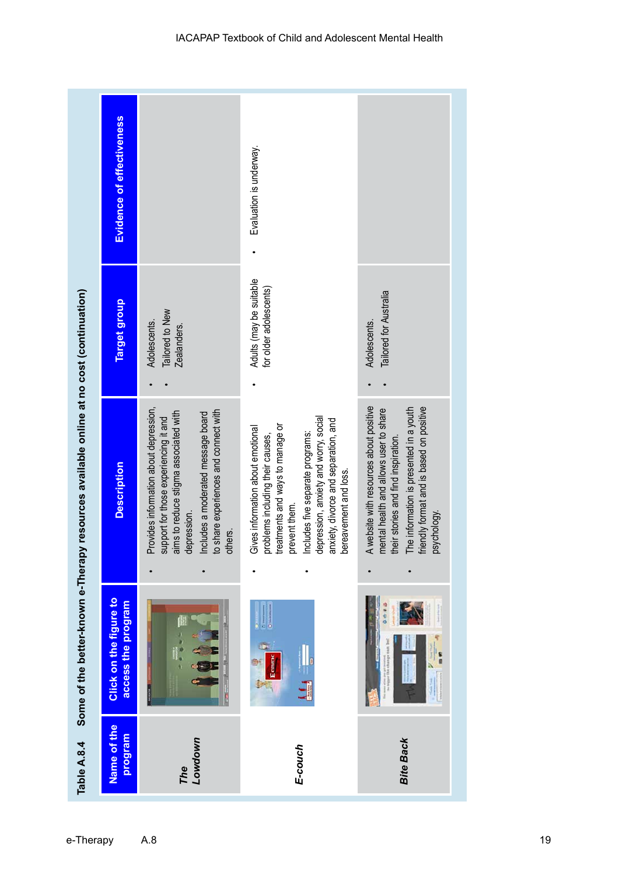|                                                                                         | <b>Evidence of effectiveness</b>                    |                                                                                                                                                                                                                                   | Evaluation is underway.                                                                                                                                                                                                                                                  |                                                                                                                                                                                                                                |
|-----------------------------------------------------------------------------------------|-----------------------------------------------------|-----------------------------------------------------------------------------------------------------------------------------------------------------------------------------------------------------------------------------------|--------------------------------------------------------------------------------------------------------------------------------------------------------------------------------------------------------------------------------------------------------------------------|--------------------------------------------------------------------------------------------------------------------------------------------------------------------------------------------------------------------------------|
|                                                                                         | Target group                                        | Tailored to New<br>Adolescents.<br>Zealanders.                                                                                                                                                                                    | Adults (may be suitable<br>for older adolescents)                                                                                                                                                                                                                        | Tailored for Australia<br>Adolescents.                                                                                                                                                                                         |
| Some of the better-known e-Therapy resources available online at no cost (continuation) | <b>Description</b>                                  | Provides information about depression,<br>to share experiences and connect with<br>aims to reduce stigma associated with<br>Includes a moderated message board<br>support for those experiencing it and<br>depression.<br>others. | depression, anxiety and worry, social<br>anxiety, divorce and separation, and<br>treatments and ways to manage or<br>Gives information about emotional<br>Includes five separate programs:<br>problems including their causes,<br>bereavement and loss.<br>prevent them. | A website with resources about positive<br>friendly format and is based on positive<br>mental health and allows user to share<br>The information is presented in a youth<br>their stories and find inspiration.<br>psychology. |
|                                                                                         | <b>Click on the figure to</b><br>access the program |                                                                                                                                                                                                                                   | Econox                                                                                                                                                                                                                                                                   | <b>C 4 0</b><br>s<br>B                                                                                                                                                                                                         |
| Table A.8.4                                                                             | Name of the<br>program                              | Lowdown<br>The                                                                                                                                                                                                                    | E-couch                                                                                                                                                                                                                                                                  | <b>Bite Back</b>                                                                                                                                                                                                               |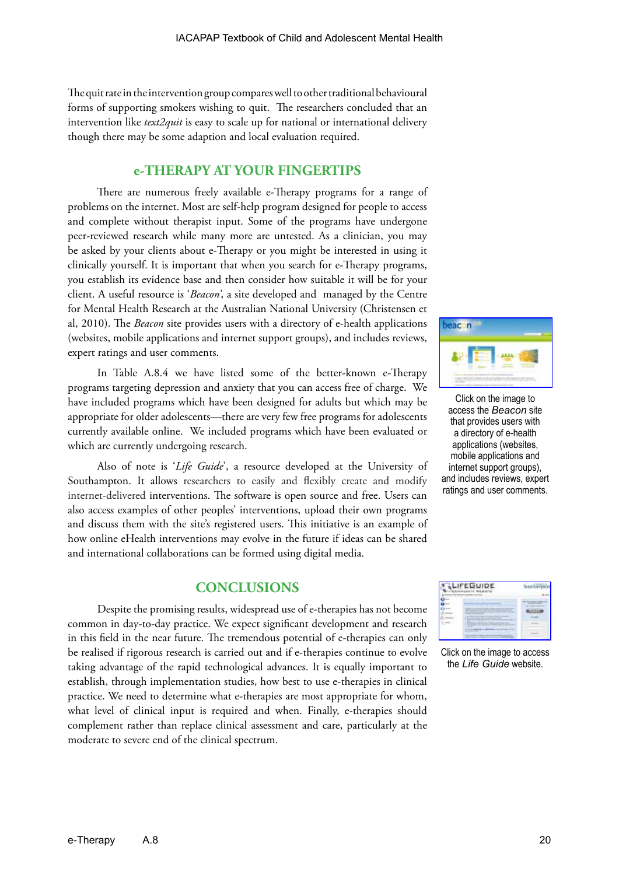The quit rate in the intervention group compares well to other traditional behavioural forms of supporting smokers wishing to quit. The researchers concluded that an intervention like *text2quit* is easy to scale up for national or international delivery though there may be some adaption and local evaluation required.

# **e-THERAPY AT YOUR FINGERTIPS**

There are numerous freely available e-Therapy programs for a range of problems on the internet. Most are self-help program designed for people to access and complete without therapist input. Some of the programs have undergone peer-reviewed research while many more are untested. As a clinician, you may be asked by your clients about e-Therapy or you might be interested in using it clinically yourself. It is important that when you search for e-Therapy programs, you establish its evidence base and then consider how suitable it will be for your client. A useful resource is '*Beacon'*, a site developed and managed by the Centre for Mental Health Research at the Australian National University (Christensen et al, 2010). The *Beacon* site provides users with a directory of e-health applications (websites, mobile applications and internet support groups), and includes reviews, expert ratings and user comments.

In Table A.8.4 we have listed some of the better-known e-Therapy programs targeting depression and anxiety that you can access free of charge. We have included programs which have been designed for adults but which may be appropriate for older adolescents—there are very few free programs for adolescents currently available online. We included programs which have been evaluated or which are currently undergoing research.

Also of note is '*Life Guide*', a resource developed at the University of Southampton. It allows researchers to easily and flexibly create and modify internet-delivered interventions. The software is open source and free. Users can also access examples of other peoples' interventions, upload their own programs and discuss them with the site's registered users. This initiative is an example of how online eHealth interventions may evolve in the future if ideas can be shared and international collaborations can be formed using digital media.

# **CONCLUSIONS**

Despite the promising results, widespread use of e-therapies has not become common in day-to-day practice. We expect significant development and research in this field in the near future. The tremendous potential of e-therapies can only be realised if rigorous research is carried out and if e-therapies continue to evolve taking advantage of the rapid technological advances. It is equally important to establish, through implementation studies, how best to use e-therapies in clinical practice. We need to determine what e-therapies are most appropriate for whom, what level of clinical input is required and when. Finally, e-therapies should complement rather than replace clinical assessment and care, particularly at the moderate to severe end of the clinical spectrum.



Click on the image to access the *Beacon* site that provides users with a directory of e-health applications (websites, mobile applications and internet support groups), and includes reviews, expert ratings and user comments.



Click on the image to access the *Life Guide* website.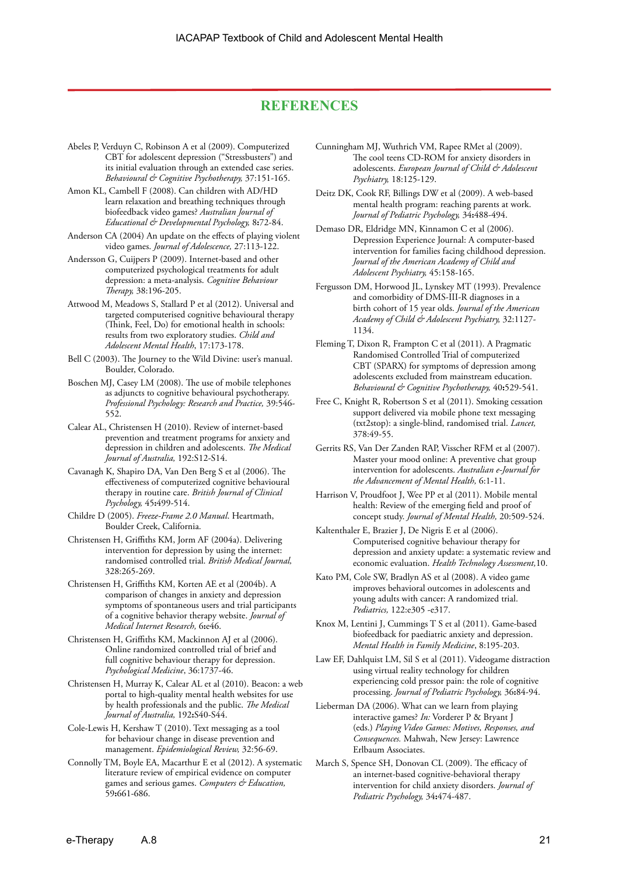# **REFERENCES**

- Abeles P, Verduyn C, Robinson A et al (2009). Computerized CBT for adolescent depression ("Stressbusters") and its initial evaluation through an extended case series. *Behavioural & Cognitive Psychotherapy,* 37:151-165.
- Amon KL, Cambell F (2008). Can children with AD/HD learn relaxation and breathing techniques through biofeedback video games? *Australian Journal of Educational & Developmental Psychology,* 8**:**72-84.
- Anderson CA (2004) An update on the effects of playing violent video games. *Journal of Adolescence,* 27:113-122.
- Andersson G, Cuijpers P (2009). Internet-based and other computerized psychological treatments for adult depression: a meta-analysis. *Cognitive Behaviour Therapy,* 38:196-205.
- Attwood M, Meadows S, Stallard P et al (2012). Universal and targeted computerised cognitive behavioural therapy (Think, Feel, Do) for emotional health in schools: results from two exploratory studies. *Child and Adolescent Mental Health*, 17:173-178.
- Bell C (2003). The Journey to the Wild Divine: user's manual. Boulder, Colorado.
- Boschen MJ, Casey LM (2008). The use of mobile telephones as adjuncts to cognitive behavioural psychotherapy. *Professional Psychology: Research and Practice,* 39:546- 552.
- Calear AL, Christensen H (2010). Review of internet-based prevention and treatment programs for anxiety and depression in children and adolescents. *The Medical Journal of Australia,* 192:S12-S14.
- Cavanagh K, Shapiro DA, Van Den Berg S et al (2006). The effectiveness of computerized cognitive behavioural therapy in routine care. *British Journal of Clinical Psychology,* 45**:**499-514.
- Childre D (2005). *Freeze-Frame 2.0 Manual*. Heartmath, Boulder Creek, California.
- Christensen H, Griffiths KM, Jorm AF (2004a). Delivering intervention for depression by using the internet: randomised controlled trial. *British Medical Journal,* 328:265-269.
- Christensen H, Griffiths KM, Korten AE et al (2004b). A comparison of changes in anxiety and depression symptoms of spontaneous users and trial participants of a cognitive behavior therapy website. *Journal of Medical Internet Research,* 6**:**e46.
- Christensen H, Griffiths KM, Mackinnon AJ et al (2006). Online randomized controlled trial of brief and full cognitive behaviour therapy for depression. *Psychological Medicine*, 36:1737-46.
- Christensen H, Murray K, Calear AL et al (2010). Beacon: a web portal to high-quality mental health websites for use by health professionals and the public. *The Medical Journal of Australia,* 192**:**S40-S44.
- Cole-Lewis H, Kershaw T (2010). Text messaging as a tool for behaviour change in disease prevention and management. *Epidemiological Review,* 32:56-69.
- Connolly TM, Boyle EA, Macarthur E et al (2012). A systematic literature review of empirical evidence on computer games and serious games. *Computers & Education,* 59**:**661-686.
- Cunningham MJ, Wuthrich VM, Rapee RMet al (2009). The cool teens CD-ROM for anxiety disorders in adolescents. *European Journal of Child & Adolescent Psychiatry,* 18:125-129.
- Deitz DK, Cook RF, Billings DW et al (2009). A web-based mental health program: reaching parents at work. *Journal of Pediatric Psychology,* 34**:**488-494.

Demaso DR, Eldridge MN, Kinnamon C et al (2006). Depression Experience Journal: A computer-based intervention for families facing childhood depression. *Journal of the American Academy of Child and Adolescent Psychiatry,* 45:158-165.

- Fergusson DM, Horwood JL, Lynskey MT (1993). Prevalence and comorbidity of DMS-III-R diagnoses in a birth cohort of 15 year olds. *Journal of the American Academy of Child & Adolescent Psychiatry,* 32:1127- 1134.
- Fleming T, Dixon R, Frampton C et al (2011). A Pragmatic Randomised Controlled Trial of computerized CBT (SPARX) for symptoms of depression among adolescents excluded from mainstream education. *Behavioural & Cognitive Psychotherapy,* 40**:**529-541.
- Free C, Knight R, Robertson S et al (2011). Smoking cessation support delivered via mobile phone text messaging (txt2stop): a single-blind, randomised trial. *Lancet,* 378:49-55.
- Gerrits RS, Van Der Zanden RAP, Visscher RFM et al (2007). Master your mood online: A preventive chat group intervention for adolescents. *Australian e-Journal for the Advancement of Mental Health,* 6:1-11.
- Harrison V, Proudfoot J, Wee PP et al (2011). Mobile mental health: Review of the emerging field and proof of concept study. *Journal of Mental Health,* 20:509-524.
- Kaltenthaler E, Brazier J, De Nigris E et al (2006). Computerised cognitive behaviour therapy for depression and anxiety update: a systematic review and economic evaluation. *Health Technology Assessment,*10.
- Kato PM, Cole SW, Bradlyn AS et al (2008). A video game improves behavioral outcomes in adolescents and young adults with cancer: A randomized trial. *Pediatrics,* 122:e305 -e317.
- Knox M, Lentini J, Cummings T S et al (2011). Game-based biofeedback for paediatric anxiety and depression. *Mental Health in Family Medicine*, 8:195-203.
- Law EF, Dahlquist LM, Sil S et al (2011). Videogame distraction using virtual reality technology for children experiencing cold pressor pain: the role of cognitive processing. *Journal of Pediatric Psychology,* 36**:**84-94.
- Lieberman DA (2006). What can we learn from playing interactive games? *In:* Vorderer P & Bryant J (eds.) *Playing Video Games: Motives, Responses, and Consequences.* Mahwah, New Jersey: Lawrence Erlbaum Associates.
- March S, Spence SH, Donovan CL (2009). The efficacy of an internet-based cognitive-behavioral therapy intervention for child anxiety disorders. *Journal of Pediatric Psychology,* 34**:**474-487.